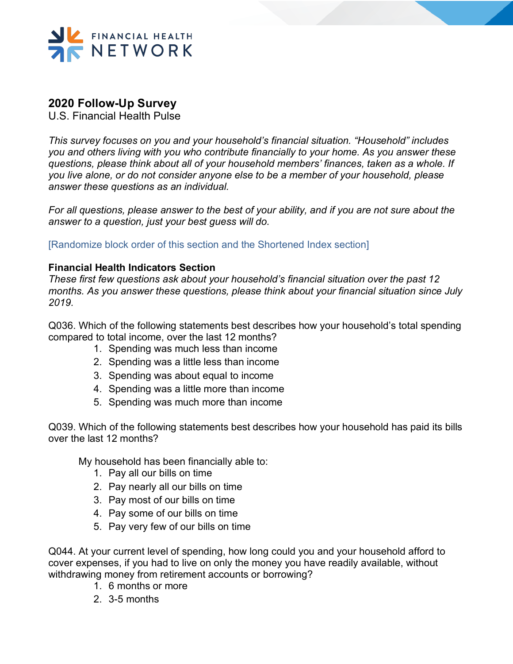

### **2020 Follow-Up Survey**

U.S. Financial Health Pulse

*This survey focuses on you and your household's financial situation. "Household" includes you and others living with you who contribute financially to your home. As you answer these questions, please think about all of your household members' finances, taken as a whole. If you live alone, or do not consider anyone else to be a member of your household, please answer these questions as an individual.* 

*For all questions, please answer to the best of your ability, and if you are not sure about the answer to a question, just your best guess will do.*

[Randomize block order of this section and the Shortened Index section]

#### **Financial Health Indicators Section**

*These first few questions ask about your household's financial situation over the past 12 months. As you answer these questions, please think about your financial situation since July 2019.*

Q036. Which of the following statements best describes how your household's total spending compared to total income, over the last 12 months?

- 1. Spending was much less than income
- 2. Spending was a little less than income
- 3. Spending was about equal to income
- 4. Spending was a little more than income
- 5. Spending was much more than income

Q039. Which of the following statements best describes how your household has paid its bills over the last 12 months?

My household has been financially able to:

- 1. Pay all our bills on time
- 2. Pay nearly all our bills on time
- 3. Pay most of our bills on time
- 4. Pay some of our bills on time
- 5. Pay very few of our bills on time

Q044. At your current level of spending, how long could you and your household afford to cover expenses, if you had to live on only the money you have readily available, without withdrawing money from retirement accounts or borrowing?

- 1. 6 months or more
- 2. 3-5 months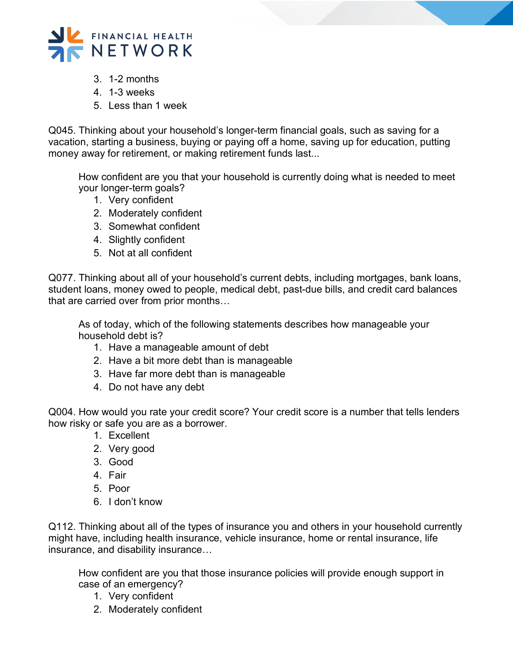

- 3. 1-2 months
- 4. 1-3 weeks
- 5. Less than 1 week

Q045. Thinking about your household's longer-term financial goals, such as saving for a vacation, starting a business, buying or paying off a home, saving up for education, putting money away for retirement, or making retirement funds last...

How confident are you that your household is currently doing what is needed to meet your longer-term goals?

- 1. Very confident
- 2. Moderately confident
- 3. Somewhat confident
- 4. Slightly confident
- 5. Not at all confident

Q077. Thinking about all of your household's current debts, including mortgages, bank loans, student loans, money owed to people, medical debt, past-due bills, and credit card balances that are carried over from prior months…

As of today, which of the following statements describes how manageable your household debt is?

- 1. Have a manageable amount of debt
- 2. Have a bit more debt than is manageable
- 3. Have far more debt than is manageable
- 4. Do not have any debt

Q004. How would you rate your credit score? Your credit score is a number that tells lenders how risky or safe you are as a borrower.

- 1. Excellent
- 2. Very good
- 3. Good
- 4. Fair
- 5. Poor
- 6. I don't know

Q112. Thinking about all of the types of insurance you and others in your household currently might have, including health insurance, vehicle insurance, home or rental insurance, life insurance, and disability insurance…

How confident are you that those insurance policies will provide enough support in case of an emergency?

- 1. Very confident
- 2. Moderately confident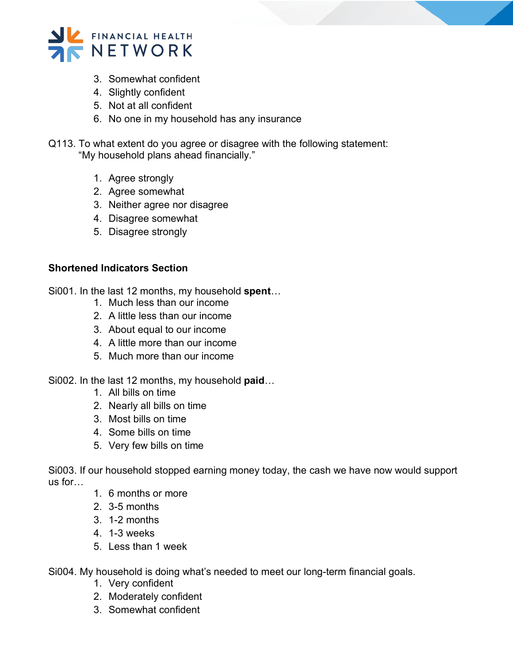

- 3. Somewhat confident
- 4. Slightly confident
- 5. Not at all confident
- 6. No one in my household has any insurance
- Q113. To what extent do you agree or disagree with the following statement: "My household plans ahead financially."
	- 1. Agree strongly
	- 2. Agree somewhat
	- 3. Neither agree nor disagree
	- 4. Disagree somewhat
	- 5. Disagree strongly

#### **Shortened Indicators Section**

Si001. In the last 12 months, my household **spent**…

- 1. Much less than our income
- 2. A little less than our income
- 3. About equal to our income
- 4. A little more than our income
- 5. Much more than our income

Si002. In the last 12 months, my household **paid**…

- 1. All bills on time
- 2. Nearly all bills on time
- 3. Most bills on time
- 4. Some bills on time
- 5. Very few bills on time

Si003. If our household stopped earning money today, the cash we have now would support us for…

- 1. 6 months or more
- 2. 3-5 months
- 3. 1-2 months
- 4. 1-3 weeks
- 5. Less than 1 week
- Si004. My household is doing what's needed to meet our long-term financial goals.
	- 1. Very confident
	- 2. Moderately confident
	- 3. Somewhat confident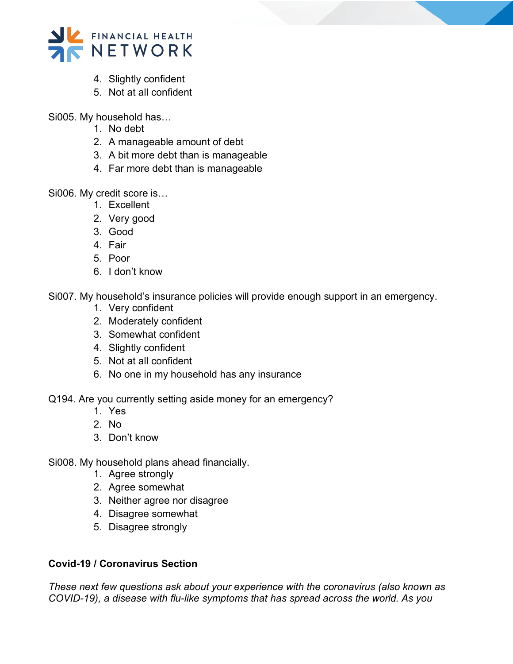

- 4. Slightly confident
- 5. Not at all confident

Si005. My household has…

- 1. No debt
- 2. A manageable amount of debt
- 3. A bit more debt than is manageable
- 4. Far more debt than is manageable

Si006. My credit score is…

- 1. Excellent
- 2. Very good
- 3. Good
- 4. Fair
- 5. Poor
- 6. I don't know

Si007. My household's insurance policies will provide enough support in an emergency.

- 1. Very confident
- 2. Moderately confident
- 3. Somewhat confident
- 4. Slightly confident
- 5. Not at all confident
- 6. No one in my household has any insurance

Q194. Are you currently setting aside money for an emergency?

- 1. Yes
- 2. No
- 3. Don't know
- Si008. My household plans ahead financially.
	- 1. Agree strongly
	- 2. Agree somewhat
	- 3. Neither agree nor disagree
	- 4. Disagree somewhat
	- 5. Disagree strongly

### **Covid-19 / Coronavirus Section**

*These next few questions ask about your experience with the coronavirus (also known as COVID-19), a disease with flu-like symptoms that has spread across the world. As you*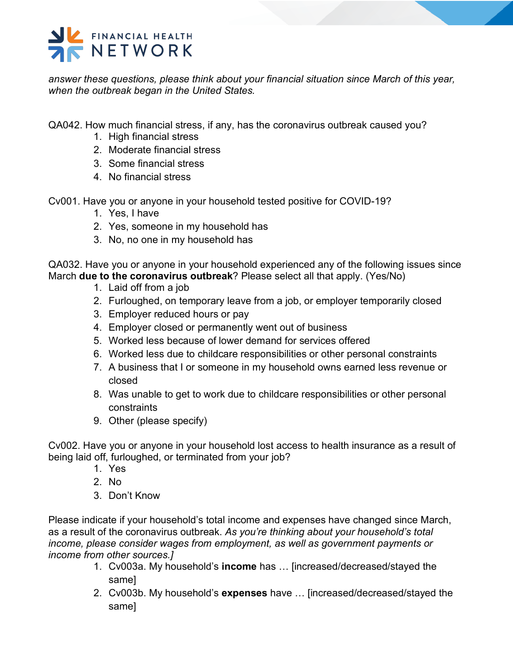

*answer these questions, please think about your financial situation since March of this year, when the outbreak began in the United States.*

#### QA042. How much financial stress, if any, has the coronavirus outbreak caused you?

- 1. High financial stress
- 2. Moderate financial stress
- 3. Some financial stress
- 4. No financial stress

Cv001. Have you or anyone in your household tested positive for COVID-19?

- 1. Yes, I have
- 2. Yes, someone in my household has
- 3. No, no one in my household has

QA032. Have you or anyone in your household experienced any of the following issues since March **due to the coronavirus outbreak**? Please select all that apply. (Yes/No)

- 1. Laid off from a job
- 2. Furloughed, on temporary leave from a job, or employer temporarily closed
- 3. Employer reduced hours or pay
- 4. Employer closed or permanently went out of business
- 5. Worked less because of lower demand for services offered
- 6. Worked less due to childcare responsibilities or other personal constraints
- 7. A business that I or someone in my household owns earned less revenue or closed
- 8. Was unable to get to work due to childcare responsibilities or other personal constraints
- 9. Other (please specify)

Cv002. Have you or anyone in your household lost access to health insurance as a result of being laid off, furloughed, or terminated from your job?

- 1. Yes
- 2. No
- 3. Don't Know

Please indicate if your household's total income and expenses have changed since March, as a result of the coronavirus outbreak. *As you're thinking about your household's total income, please consider wages from employment, as well as government payments or income from other sources.]*

- 1. Cv003a. My household's **income** has … [increased/decreased/stayed the same]
- 2. Cv003b. My household's **expenses** have … [increased/decreased/stayed the same]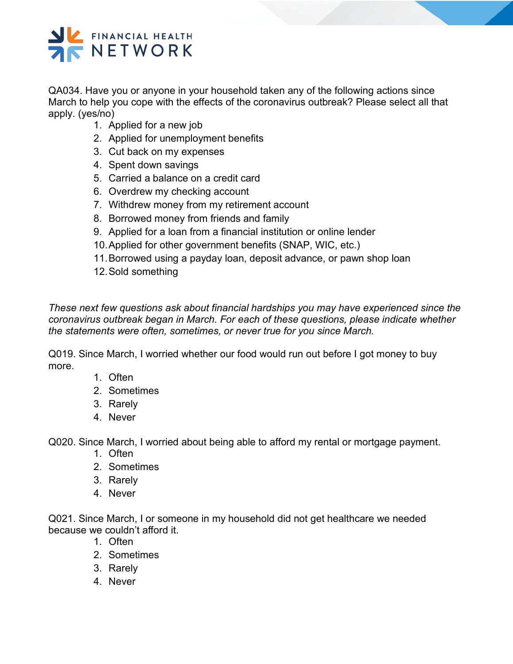# FINANCIAL HEALTH NETWORK

QA034. Have you or anyone in your household taken any of the following actions since March to help you cope with the effects of the coronavirus outbreak? Please select all that apply. (yes/no)

- 1. Applied for a new job
- 2. Applied for unemployment benefits
- 3. Cut back on my expenses
- 4. Spent down savings
- 5. Carried a balance on a credit card
- 6. Overdrew my checking account
- 7. Withdrew money from my retirement account
- 8. Borrowed money from friends and family
- 9. Applied for a loan from a financial institution or online lender
- 10.Applied for other government benefits (SNAP, WIC, etc.)
- 11.Borrowed using a payday loan, deposit advance, or pawn shop loan
- 12.Sold something

*These next few questions ask about financial hardships you may have experienced since the coronavirus outbreak began in March. For each of these questions, please indicate whether the statements were often, sometimes, or never true for you since March.*

Q019. Since March, I worried whether our food would run out before I got money to buy more.

- 1. Often
- 2. Sometimes
- 3. Rarely
- 4. Never

Q020. Since March, I worried about being able to afford my rental or mortgage payment.

- 1. Often
- 2. Sometimes
- 3. Rarely
- 4. Never

Q021. Since March, I or someone in my household did not get healthcare we needed because we couldn't afford it.

- 1. Often
- 2. Sometimes
- 3. Rarely
- 4. Never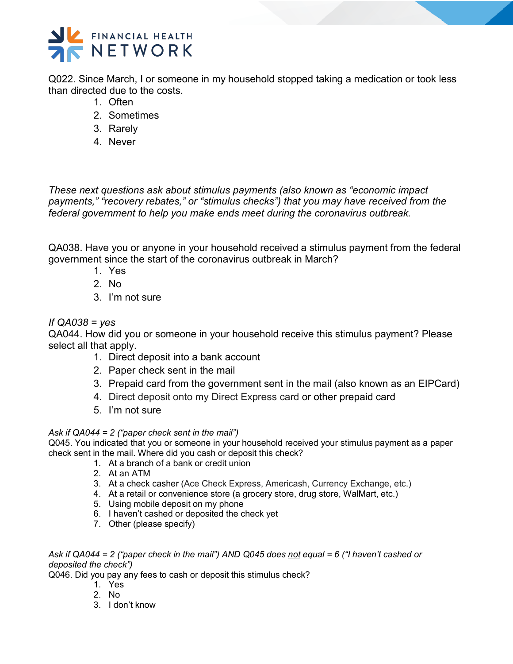

Q022. Since March, I or someone in my household stopped taking a medication or took less than directed due to the costs.

- 1. Often
- 2. Sometimes
- 3. Rarely
- 4. Never

*These next questions ask about stimulus payments (also known as "economic impact payments," "recovery rebates," or "stimulus checks") that you may have received from the federal government to help you make ends meet during the coronavirus outbreak.*

QA038. Have you or anyone in your household received a stimulus payment from the federal government since the start of the coronavirus outbreak in March?

- 1. Yes
- 2. No
- 3. I'm not sure

#### *If QA038 = yes*

QA044. How did you or someone in your household receive this stimulus payment? Please select all that apply.

- 1. Direct deposit into a bank account
- 2. Paper check sent in the mail
- 3. Prepaid card from the government sent in the mail (also known as an EIPCard)
- 4. Direct deposit onto my Direct Express card or other prepaid card
- 5. I'm not sure

#### *Ask if QA044 = 2 ("paper check sent in the mail")*

Q045. You indicated that you or someone in your household received your stimulus payment as a paper check sent in the mail. Where did you cash or deposit this check?

- 1. At a branch of a bank or credit union
- 2. At an ATM
- 3. At a check casher (Ace Check Express, Americash, Currency Exchange, etc.)
- 4. At a retail or convenience store (a grocery store, drug store, WalMart, etc.)
- 5. Using mobile deposit on my phone
- 6. I haven't cashed or deposited the check yet
- 7. Other (please specify)

*Ask if QA044 = 2 ("paper check in the mail") AND Q045 does not equal = 6 ("I haven't cashed or deposited the check")* 

Q046. Did you pay any fees to cash or deposit this stimulus check?

- 1. Yes
- 2. No
- 3. I don't know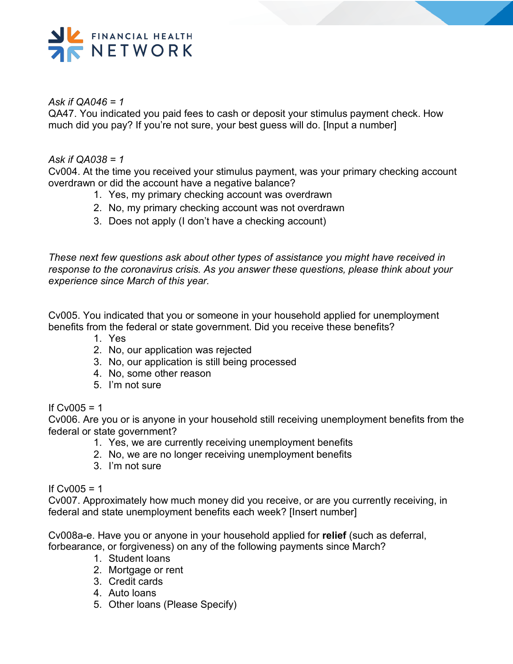

#### *Ask if QA046 = 1*

QA47. You indicated you paid fees to cash or deposit your stimulus payment check. How much did you pay? If you're not sure, your best guess will do. [Input a number]

#### *Ask if QA038 = 1*

Cv004. At the time you received your stimulus payment, was your primary checking account overdrawn or did the account have a negative balance?

- 1. Yes, my primary checking account was overdrawn
- 2. No, my primary checking account was not overdrawn
- 3. Does not apply (I don't have a checking account)

*These next few questions ask about other types of assistance you might have received in response to the coronavirus crisis. As you answer these questions, please think about your experience since March of this year.*

Cv005. You indicated that you or someone in your household applied for unemployment benefits from the federal or state government. Did you receive these benefits?

- 1. Yes
- 2. No, our application was rejected
- 3. No, our application is still being processed
- 4. No, some other reason
- 5. I'm not sure

### If  $Cv005 = 1$

Cv006. Are you or is anyone in your household still receiving unemployment benefits from the federal or state government?

- 1. Yes, we are currently receiving unemployment benefits
- 2. No, we are no longer receiving unemployment benefits
- 3. I'm not sure

#### If  $Cv005 = 1$

Cv007. Approximately how much money did you receive, or are you currently receiving, in federal and state unemployment benefits each week? [Insert number]

Cv008a-e. Have you or anyone in your household applied for **relief** (such as deferral, forbearance, or forgiveness) on any of the following payments since March?

- 1. Student loans
- 2. Mortgage or rent
- 3. Credit cards
- 4. Auto loans
- 5. Other loans (Please Specify)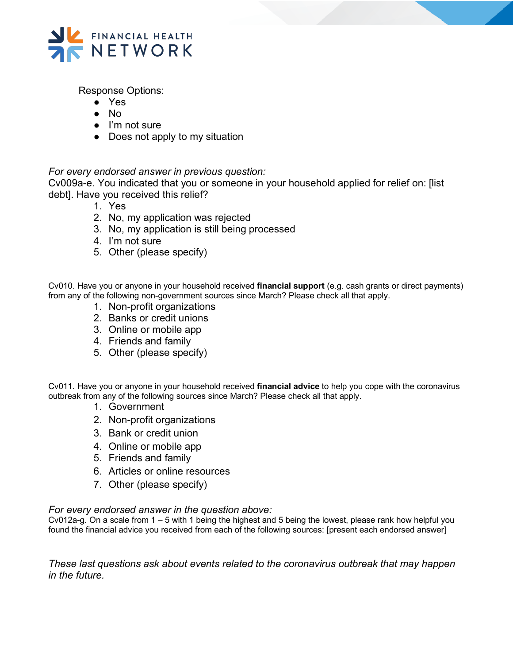

Response Options:

- Yes
- No
- I'm not sure
- Does not apply to my situation

#### *For every endorsed answer in previous question:*

Cv009a-e. You indicated that you or someone in your household applied for relief on: [list debt]. Have you received this relief?

- 1. Yes
- 2. No, my application was rejected
- 3. No, my application is still being processed
- 4. I'm not sure
- 5. Other (please specify)

Cv010. Have you or anyone in your household received **financial support** (e.g. cash grants or direct payments) from any of the following non-government sources since March? Please check all that apply.

- 1. Non-profit organizations
- 2. Banks or credit unions
- 3. Online or mobile app
- 4. Friends and family
- 5. Other (please specify)

Cv011. Have you or anyone in your household received **financial advice** to help you cope with the coronavirus outbreak from any of the following sources since March? Please check all that apply.

- 1. Government
- 2. Non-profit organizations
- 3. Bank or credit union
- 4. Online or mobile app
- 5. Friends and family
- 6. Articles or online resources
- 7. Other (please specify)

#### *For every endorsed answer in the question above:*

Cv012a-g. On a scale from 1 – 5 with 1 being the highest and 5 being the lowest, please rank how helpful you found the financial advice you received from each of the following sources: [present each endorsed answer]

*These last questions ask about events related to the coronavirus outbreak that may happen in the future.*